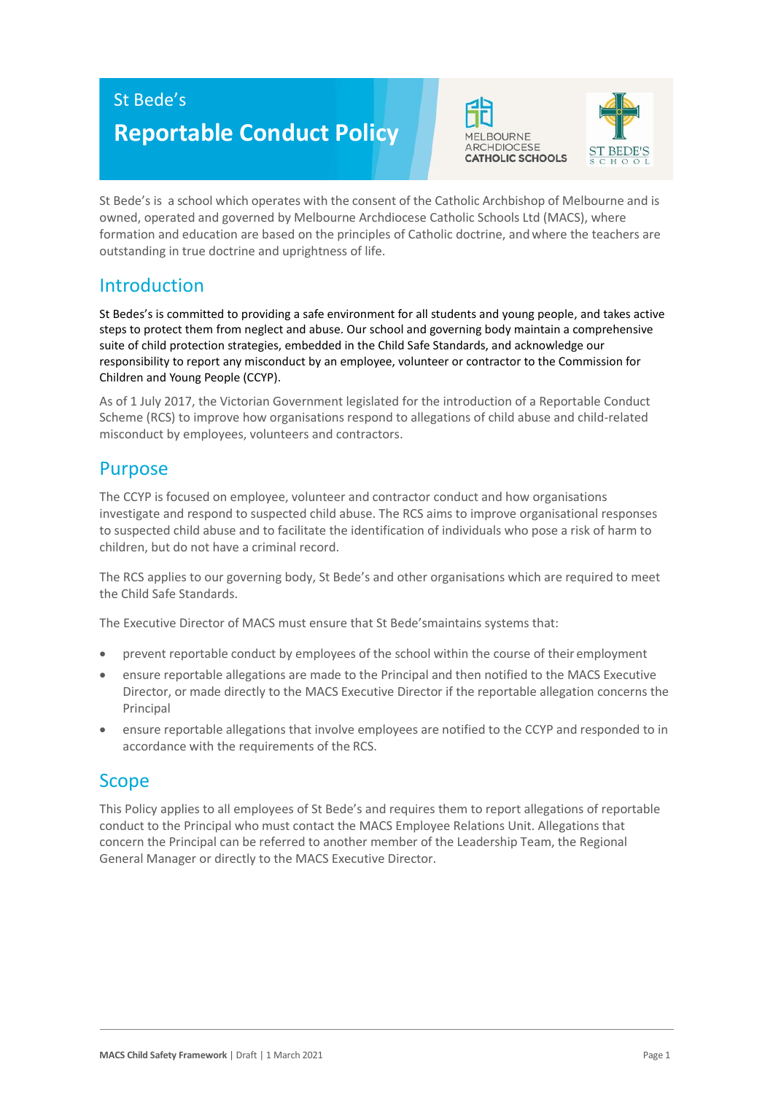## St Bede's

# **Reportable Conduct Policy**





St Bede's is a school which operates with the consent of the Catholic Archbishop of Melbourne and is owned, operated and governed by Melbourne Archdiocese Catholic Schools Ltd (MACS), where formation and education are based on the principles of Catholic doctrine, and where the teachers are outstanding in true doctrine and uprightness of life.

## Introduction

St Bedes's is committed to providing a safe environment for all students and young people, and takes active steps to protect them from neglect and abuse. Our school and governing body maintain a comprehensive suite of child protection strategies, embedded in the Child Safe Standards, and acknowledge our responsibility to report any misconduct by an employee, volunteer or contractor to the Commission for Children and Young People (CCYP).

As of 1 July 2017, the Victorian Government legislated for the introduction of a Reportable Conduct Scheme (RCS) to improve how organisations respond to allegations of child abuse and child-related misconduct by employees, volunteers and contractors.

## Purpose

The CCYP is focused on employee, volunteer and contractor conduct and how organisations investigate and respond to suspected child abuse. The RCS aims to improve organisational responses to suspected child abuse and to facilitate the identification of individuals who pose a risk of harm to children, but do not have a criminal record.

The RCS applies to our governing body, St Bede's and other organisations which are required to meet the Child Safe Standards.

The Executive Director of MACS must ensure that St Bede'smaintains systems that:

- prevent reportable conduct by employees of the school within the course of their employment
- ensure reportable allegations are made to the Principal and then notified to the MACS Executive Director, or made directly to the MACS Executive Director if the reportable allegation concerns the Principal
- ensure reportable allegations that involve employees are notified to the CCYP and responded to in accordance with the requirements of the RCS.

## Scope

This Policy applies to all employees of St Bede's and requires them to report allegations of reportable conduct to the Principal who must contact the MACS Employee Relations Unit. Allegations that concern the Principal can be referred to another member of the Leadership Team, the Regional General Manager or directly to the MACS Executive Director.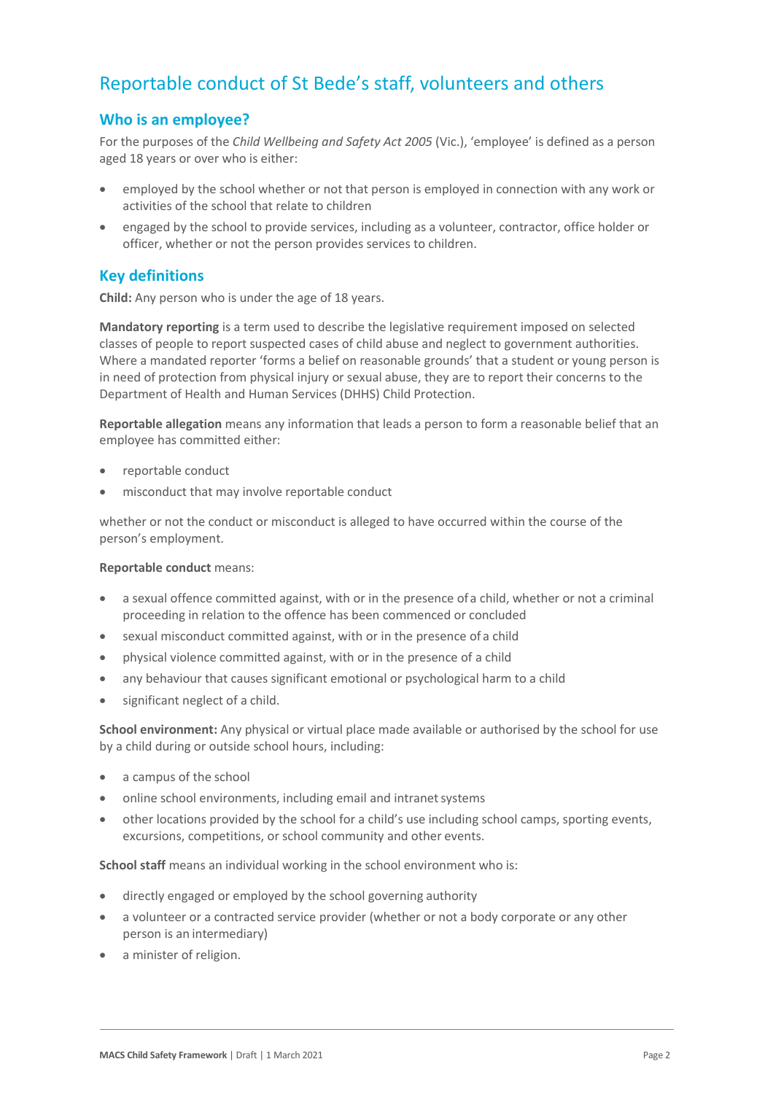## Reportable conduct of St Bede's staff, volunteers and others

## **Who is an employee?**

For the purposes of the *Child Wellbeing and Safety Act 2005* (Vic.), 'employee' is defined as a person aged 18 years or over who is either:

- employed by the school whether or not that person is employed in connection with any work or activities of the school that relate to children
- engaged by the school to provide services, including as a volunteer, contractor, office holder or officer, whether or not the person provides services to children.

### **Key definitions**

**Child:** Any person who is under the age of 18 years.

**Mandatory reporting** is a term used to describe the legislative requirement imposed on selected classes of people to report suspected cases of child abuse and neglect to government authorities. Where a mandated reporter 'forms a belief on reasonable grounds' that a student or young person is in need of protection from physical injury or sexual abuse, they are to report their concerns to the Department of Health and Human Services (DHHS) Child Protection.

**Reportable allegation** means any information that leads a person to form a reasonable belief that an employee has committed either:

- reportable conduct
- misconduct that may involve reportable conduct

whether or not the conduct or misconduct is alleged to have occurred within the course of the person's employment.

#### **Reportable conduct** means:

- a sexual offence committed against, with or in the presence of a child, whether or not a criminal proceeding in relation to the offence has been commenced or concluded
- sexual misconduct committed against, with or in the presence of a child
- physical violence committed against, with or in the presence of a child
- any behaviour that causes significant emotional or psychological harm to a child
- significant neglect of a child.

**School environment:** Any physical or virtual place made available or authorised by the school for use by a child during or outside school hours, including:

- a campus of the school
- online school environments, including email and intranet systems
- other locations provided by the school for a child's use including school camps, sporting events, excursions, competitions, or school community and other events.

**School staff** means an individual working in the school environment who is:

- directly engaged or employed by the school governing authority
- a volunteer or a contracted service provider (whether or not a body corporate or any other person is an intermediary)
- a minister of religion.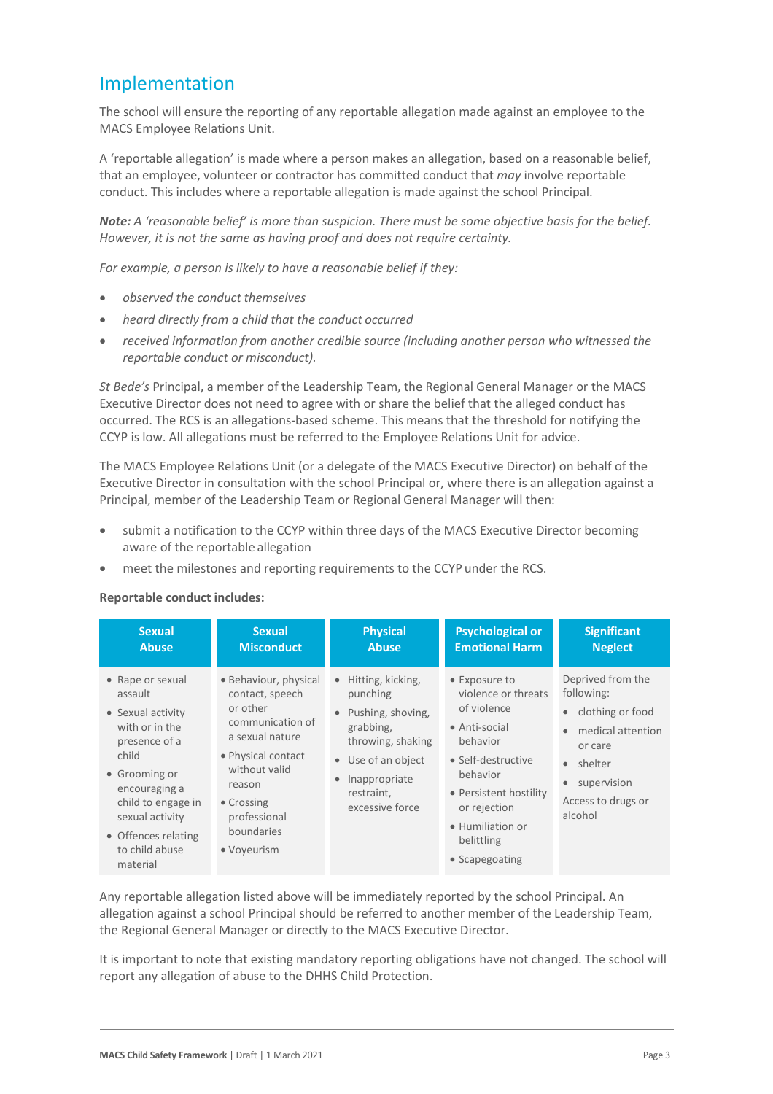## Implementation

The school will ensure the reporting of any reportable allegation made against an employee to the MACS Employee Relations Unit.

A 'reportable allegation' is made where a person makes an allegation, based on a reasonable belief, that an employee, volunteer or contractor has committed conduct that *may* involve reportable conduct. This includes where a reportable allegation is made against the school Principal.

*Note: A 'reasonable belief' is more than suspicion. There must be some objective basis for the belief. However, it is not the same as having proof and does not require certainty.*

*For example, a person is likely to have a reasonable belief if they:*

- *observed the conduct themselves*
- *heard directly from a child that the conduct occurred*
- *received information from another credible source (including another person who witnessed the reportable conduct or misconduct).*

*St Bede's* Principal, a member of the Leadership Team, the Regional General Manager or the MACS Executive Director does not need to agree with or share the belief that the alleged conduct has occurred. The RCS is an allegations-based scheme. This means that the threshold for notifying the CCYP is low. All allegations must be referred to the Employee Relations Unit for advice.

The MACS Employee Relations Unit (or a delegate of the MACS Executive Director) on behalf of the Executive Director in consultation with the school Principal or, where there is an allegation against a Principal, member of the Leadership Team or Regional General Manager will then:

- submit a notification to the CCYP within three days of the MACS Executive Director becoming aware of the reportable allegation
- meet the milestones and reporting requirements to the CCYP under the RCS.

#### **Reportable conduct includes:**

| <b>Sexual</b>                                                                                                                                                                                                                | <b>Sexual</b>                                                                                                                                                                                           | <b>Physical</b>                                                                                                                                                                                     | <b>Psychological or</b>                                                                                                                                                                                          | <b>Significant</b>                                                                                                                                                           |
|------------------------------------------------------------------------------------------------------------------------------------------------------------------------------------------------------------------------------|---------------------------------------------------------------------------------------------------------------------------------------------------------------------------------------------------------|-----------------------------------------------------------------------------------------------------------------------------------------------------------------------------------------------------|------------------------------------------------------------------------------------------------------------------------------------------------------------------------------------------------------------------|------------------------------------------------------------------------------------------------------------------------------------------------------------------------------|
| <b>Abuse</b>                                                                                                                                                                                                                 | <b>Misconduct</b>                                                                                                                                                                                       | <b>Abuse</b>                                                                                                                                                                                        | <b>Emotional Harm</b>                                                                                                                                                                                            | <b>Neglect</b>                                                                                                                                                               |
| • Rape or sexual<br>assault<br>• Sexual activity<br>with or in the<br>presence of a<br>child<br>• Grooming or<br>encouraging a<br>child to engage in<br>sexual activity<br>• Offences relating<br>to child abuse<br>material | • Behaviour, physical<br>contact, speech<br>or other<br>communication of<br>a sexual nature<br>• Physical contact<br>without valid<br>reason<br>• Crossing<br>professional<br>boundaries<br>• Voyeurism | Hitting, kicking,<br>$\bullet$<br>punching<br>Pushing, shoving,<br>$\bullet$<br>grabbing,<br>throwing, shaking<br>• Use of an object<br>Inappropriate<br>$\bullet$<br>restraint,<br>excessive force | • Exposure to<br>violence or threats<br>of violence<br>• Anti-social<br>behavior<br>• Self-destructive<br>behavior<br>• Persistent hostility<br>or rejection<br>• Humiliation or<br>belittling<br>• Scapegoating | Deprived from the<br>following:<br>• clothing or food<br>medical attention<br>$\bullet$<br>or care<br>• shelter<br>supervision<br>$\bullet$<br>Access to drugs or<br>alcohol |

Any reportable allegation listed above will be immediately reported by the school Principal. An allegation against a school Principal should be referred to another member of the Leadership Team, the Regional General Manager or directly to the MACS Executive Director.

It is important to note that existing mandatory reporting obligations have not changed. The school will report any allegation of abuse to the DHHS Child Protection.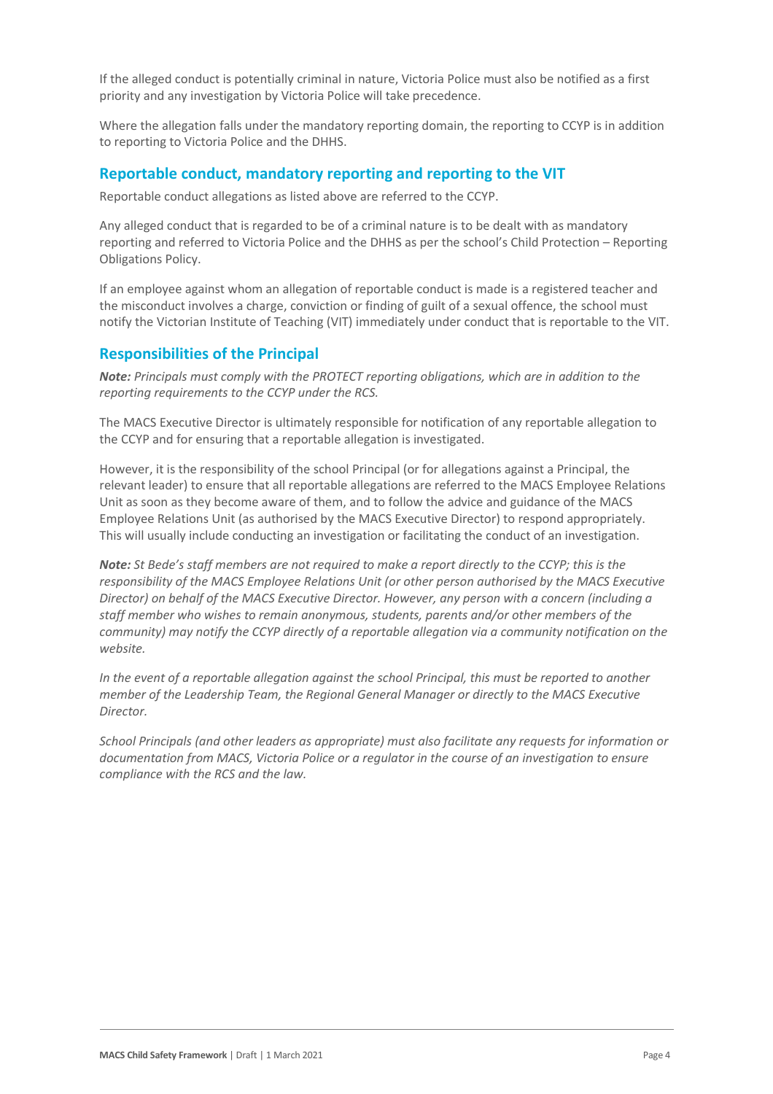If the alleged conduct is potentially criminal in nature, Victoria Police must also be notified as a first priority and any investigation by Victoria Police will take precedence.

Where the allegation falls under the mandatory reporting domain, the reporting to CCYP is in addition to reporting to Victoria Police and the DHHS.

### **Reportable conduct, mandatory reporting and reporting to the VIT**

Reportable conduct allegations as listed above are referred to the CCYP.

Any alleged conduct that is regarded to be of a criminal nature is to be dealt with as mandatory reporting and referred to Victoria Police and the DHHS as per the school's Child Protection – Reporting Obligations Policy.

If an employee against whom an allegation of reportable conduct is made is a registered teacher and the misconduct involves a charge, conviction or finding of guilt of a sexual offence, the school must notify the Victorian Institute of Teaching (VIT) immediately under conduct that is reportable to the VIT.

### **Responsibilities of the Principal**

*Note: Principals must comply with the PROTECT reporting obligations, which are in addition to the reporting requirements to the CCYP under the RCS.*

The MACS Executive Director is ultimately responsible for notification of any reportable allegation to the CCYP and for ensuring that a reportable allegation is investigated.

However, it is the responsibility of the school Principal (or for allegations against a Principal, the relevant leader) to ensure that all reportable allegations are referred to the MACS Employee Relations Unit as soon as they become aware of them, and to follow the advice and guidance of the MACS Employee Relations Unit (as authorised by the MACS Executive Director) to respond appropriately. This will usually include conducting an investigation or facilitating the conduct of an investigation.

*Note: St Bede's staff members are not required to make a report directly to the CCYP; this is the responsibility of the MACS Employee Relations Unit (or other person authorised by the MACS Executive Director) on behalf of the MACS Executive Director. However, any person with a concern (including a staff member who wishes to remain anonymous, students, parents and/or other members of the community) may notify the CCYP directly of a reportable allegation via a community notification on the website.*

*In the event of a reportable allegation against the school Principal, this must be reported to another member of the Leadership Team, the Regional General Manager or directly to the MACS Executive Director.*

*School Principals (and other leaders as appropriate) must also facilitate any requests for information or documentation from MACS, Victoria Police or a regulator in the course of an investigation to ensure compliance with the RCS and the law.*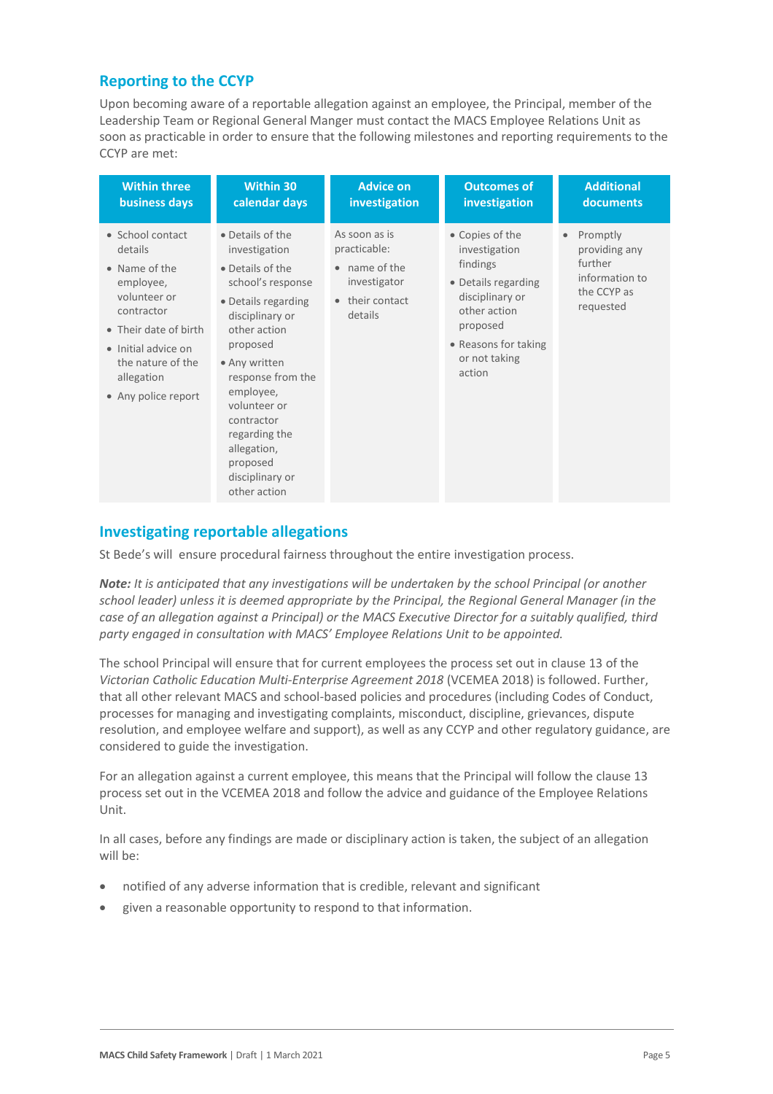### **Reporting to the CCYP**

Upon becoming aware of a reportable allegation against an employee, the Principal, member of the Leadership Team or Regional General Manger must contact the MACS Employee Relations Unit as soon as practicable in order to ensure that the following milestones and reporting requirements to the CCYP are met:

| <b>Within three</b>                                                                                                                                                                               | <b>Within 30</b>                                                                                                                                                                                                                                                                                                 | <b>Advice on</b>                                                                           | <b>Outcomes of</b>                                                                                                                                                    | <b>Additional</b>                                                                               |
|---------------------------------------------------------------------------------------------------------------------------------------------------------------------------------------------------|------------------------------------------------------------------------------------------------------------------------------------------------------------------------------------------------------------------------------------------------------------------------------------------------------------------|--------------------------------------------------------------------------------------------|-----------------------------------------------------------------------------------------------------------------------------------------------------------------------|-------------------------------------------------------------------------------------------------|
| business days                                                                                                                                                                                     | calendar days                                                                                                                                                                                                                                                                                                    | investigation                                                                              | investigation                                                                                                                                                         | documents                                                                                       |
| • School contact<br>details<br>• Name of the<br>employee,<br>volunteer or<br>contractor<br>• Their date of birth<br>· Initial advice on<br>the nature of the<br>allegation<br>• Any police report | • Details of the<br>investigation<br>• Details of the<br>school's response<br>• Details regarding<br>disciplinary or<br>other action<br>proposed<br>• Any written<br>response from the<br>employee,<br>volunteer or<br>contractor<br>regarding the<br>allegation,<br>proposed<br>disciplinary or<br>other action | As soon as is<br>practicable:<br>• name of the<br>investigator<br>their contact<br>details | • Copies of the<br>investigation<br>findings<br>• Details regarding<br>disciplinary or<br>other action<br>proposed<br>• Reasons for taking<br>or not taking<br>action | Promptly<br>$\bullet$<br>providing any<br>further<br>information to<br>the CCYP as<br>requested |

### **Investigating reportable allegations**

St Bede's will ensure procedural fairness throughout the entire investigation process.

*Note: It is anticipated that any investigations will be undertaken by the school Principal (or another school leader) unless it is deemed appropriate by the Principal, the Regional General Manager (in the case of an allegation against a Principal) or the MACS Executive Director for a suitably qualified, third party engaged in consultation with MACS' Employee Relations Unit to be appointed.*

The school Principal will ensure that for current employees the process set out in clause 13 of the *Victorian Catholic Education Multi-Enterprise Agreement 2018* (VCEMEA 2018) is followed. Further, that all other relevant MACS and school-based policies and procedures (including Codes of Conduct, processes for managing and investigating complaints, misconduct, discipline, grievances, dispute resolution, and employee welfare and support), as well as any CCYP and other regulatory guidance, are considered to guide the investigation.

For an allegation against a current employee, this means that the Principal will follow the clause 13 process set out in the VCEMEA 2018 and follow the advice and guidance of the Employee Relations Unit.

In all cases, before any findings are made or disciplinary action is taken, the subject of an allegation will be:

- notified of any adverse information that is credible, relevant and significant
- given a reasonable opportunity to respond to that information.